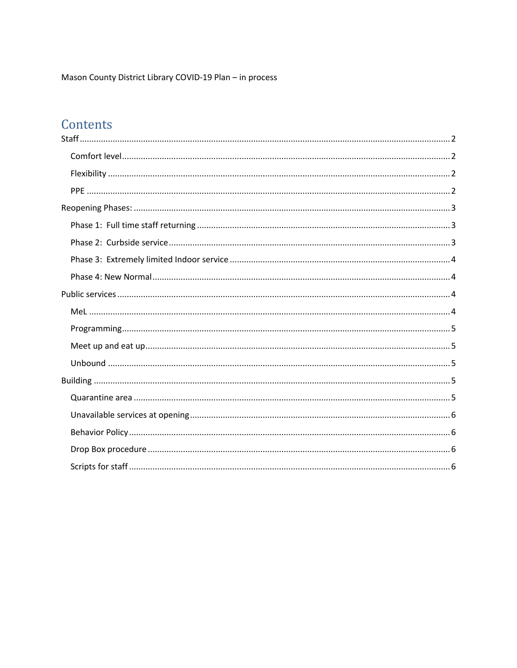Mason County District Library COVID-19 Plan - in process

# Contents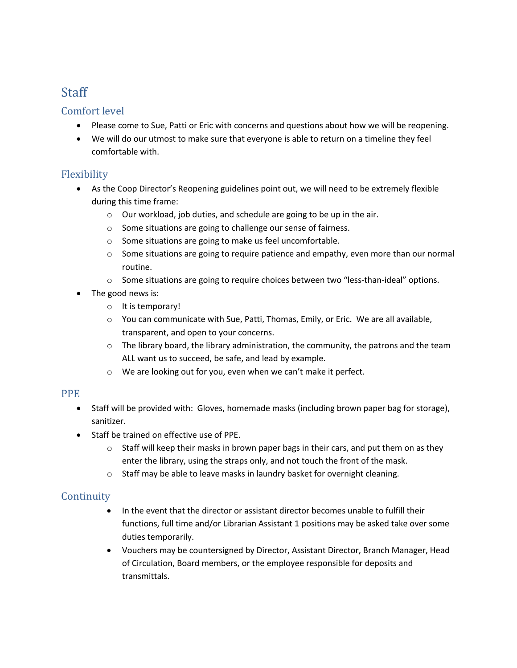# **Staff**

#### Comfort level

- Please come to Sue, Patti or Eric with concerns and questions about how we will be reopening.
- We will do our utmost to make sure that everyone is able to return on a timeline they feel comfortable with.

# Flexibility

- As the Coop Director's Reopening guidelines point out, we will need to be extremely flexible during this time frame:
	- o Our workload, job duties, and schedule are going to be up in the air.
	- o Some situations are going to challenge our sense of fairness.
	- o Some situations are going to make us feel uncomfortable.
	- $\circ$  Some situations are going to require patience and empathy, even more than our normal routine.
	- o Some situations are going to require choices between two "less-than-ideal" options.
- The good news is:
	- o It is temporary!
	- o You can communicate with Sue, Patti, Thomas, Emily, or Eric. We are all available, transparent, and open to your concerns.
	- $\circ$  The library board, the library administration, the community, the patrons and the team ALL want us to succeed, be safe, and lead by example.
	- o We are looking out for you, even when we can't make it perfect.

#### PPE

- Staff will be provided with: Gloves, homemade masks (including brown paper bag for storage), sanitizer.
- Staff be trained on effective use of PPE.
	- $\circ$  Staff will keep their masks in brown paper bags in their cars, and put them on as they enter the library, using the straps only, and not touch the front of the mask.
	- o Staff may be able to leave masks in laundry basket for overnight cleaning.

# **Continuity**

- In the event that the director or assistant director becomes unable to fulfill their functions, full time and/or Librarian Assistant 1 positions may be asked take over some duties temporarily.
- Vouchers may be countersigned by Director, Assistant Director, Branch Manager, Head of Circulation, Board members, or the employee responsible for deposits and transmittals.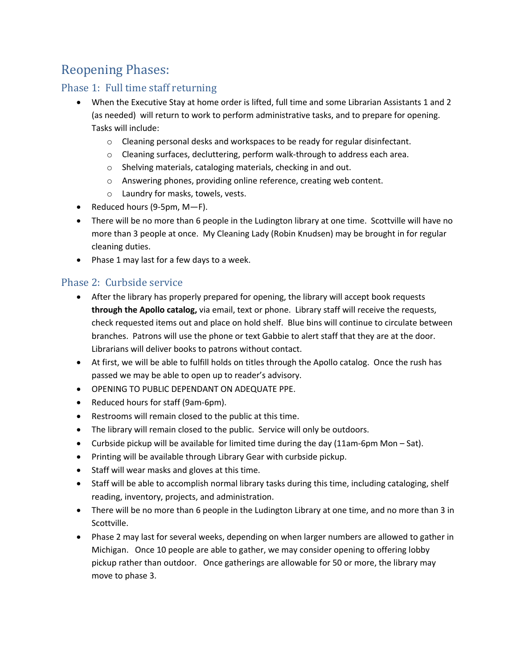# Reopening Phases:

#### Phase 1: Full time staff returning

- When the Executive Stay at home order is lifted, full time and some Librarian Assistants 1 and 2 (as needed) will return to work to perform administrative tasks, and to prepare for opening. Tasks will include:
	- o Cleaning personal desks and workspaces to be ready for regular disinfectant.
	- o Cleaning surfaces, decluttering, perform walk-through to address each area.
	- o Shelving materials, cataloging materials, checking in and out.
	- o Answering phones, providing online reference, creating web content.
	- o Laundry for masks, towels, vests.
- Reduced hours (9-5pm, M—F).
- There will be no more than 6 people in the Ludington library at one time. Scottville will have no more than 3 people at once. My Cleaning Lady (Robin Knudsen) may be brought in for regular cleaning duties.
- Phase 1 may last for a few days to a week.

#### Phase 2: Curbside service

- After the library has properly prepared for opening, the library will accept book requests **through the Apollo catalog,** via email, text or phone. Library staff will receive the requests, check requested items out and place on hold shelf. Blue bins will continue to circulate between branches. Patrons will use the phone or text Gabbie to alert staff that they are at the door. Librarians will deliver books to patrons without contact.
- At first, we will be able to fulfill holds on titles through the Apollo catalog. Once the rush has passed we may be able to open up to reader's advisory.
- OPENING TO PUBLIC DEPENDANT ON ADEQUATE PPE.
- Reduced hours for staff (9am-6pm).
- Restrooms will remain closed to the public at this time.
- The library will remain closed to the public. Service will only be outdoors.
- Curbside pickup will be available for limited time during the day (11am-6pm Mon Sat).
- Printing will be available through Library Gear with curbside pickup.
- Staff will wear masks and gloves at this time.
- Staff will be able to accomplish normal library tasks during this time, including cataloging, shelf reading, inventory, projects, and administration.
- There will be no more than 6 people in the Ludington Library at one time, and no more than 3 in Scottville.
- Phase 2 may last for several weeks, depending on when larger numbers are allowed to gather in Michigan. Once 10 people are able to gather, we may consider opening to offering lobby pickup rather than outdoor. Once gatherings are allowable for 50 or more, the library may move to phase 3.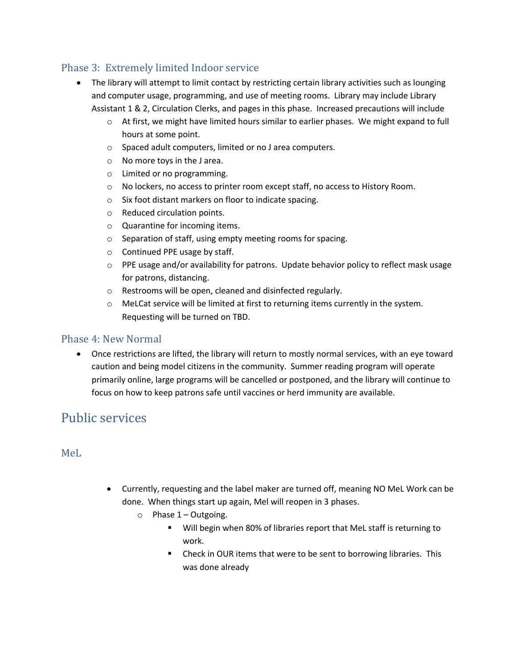#### Phase 3: Extremely limited Indoor service

- The library will attempt to limit contact by restricting certain library activities such as lounging and computer usage, programming, and use of meeting rooms. Library may include Library Assistant 1 & 2, Circulation Clerks, and pages in this phase. Increased precautions will include
	- $\circ$  At first, we might have limited hours similar to earlier phases. We might expand to full hours at some point.
	- o Spaced adult computers, limited or no J area computers.
	- o No more toys in the J area.
	- o Limited or no programming.
	- o No lockers, no access to printer room except staff, no access to History Room.
	- o Six foot distant markers on floor to indicate spacing.
	- o Reduced circulation points.
	- o Quarantine for incoming items.
	- o Separation of staff, using empty meeting rooms for spacing.
	- o Continued PPE usage by staff.
	- o PPE usage and/or availability for patrons. Update behavior policy to reflect mask usage for patrons, distancing.
	- o Restrooms will be open, cleaned and disinfected regularly.
	- o MeLCat service will be limited at first to returning items currently in the system. Requesting will be turned on TBD.

#### Phase 4: New Normal

• Once restrictions are lifted, the library will return to mostly normal services, with an eye toward caution and being model citizens in the community. Summer reading program will operate primarily online, large programs will be cancelled or postponed, and the library will continue to focus on how to keep patrons safe until vaccines or herd immunity are available.

# Public services

#### MeL

- Currently, requesting and the label maker are turned off, meaning NO MeL Work can be done. When things start up again, Mel will reopen in 3 phases.
	- $\circ$  Phase 1 Outgoing.
		- Will begin when 80% of libraries report that MeL staff is returning to work.
		- Check in OUR items that were to be sent to borrowing libraries. This was done already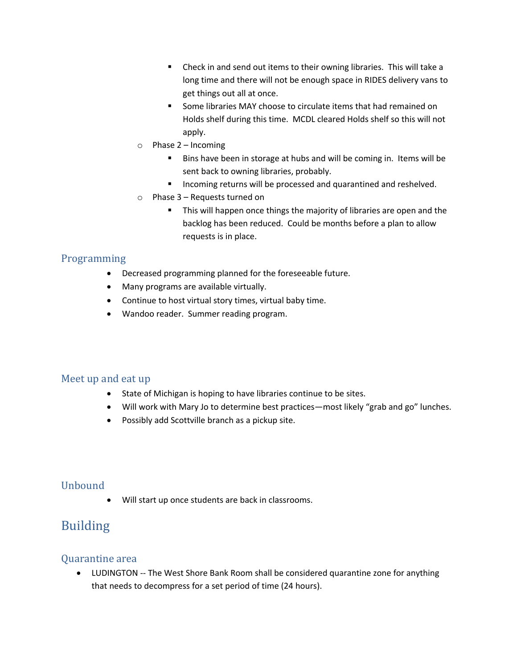- Check in and send out items to their owning libraries. This will take a long time and there will not be enough space in RIDES delivery vans to get things out all at once.
- Some libraries MAY choose to circulate items that had remained on Holds shelf during this time. MCDL cleared Holds shelf so this will not apply.
- o Phase 2 Incoming
	- Bins have been in storage at hubs and will be coming in. Items will be sent back to owning libraries, probably.
	- Incoming returns will be processed and quarantined and reshelved.
- o Phase 3 Requests turned on
	- This will happen once things the majority of libraries are open and the backlog has been reduced. Could be months before a plan to allow requests is in place.

### Programming

- Decreased programming planned for the foreseeable future.
- Many programs are available virtually.
- Continue to host virtual story times, virtual baby time.
- Wandoo reader. Summer reading program.

#### Meet up and eat up

- State of Michigan is hoping to have libraries continue to be sites.
- Will work with Mary Jo to determine best practices—most likely "grab and go" lunches.
- Possibly add Scottville branch as a pickup site.

# Unbound

• Will start up once students are back in classrooms.

# Building

#### Quarantine area

• LUDINGTON -- The West Shore Bank Room shall be considered quarantine zone for anything that needs to decompress for a set period of time (24 hours).